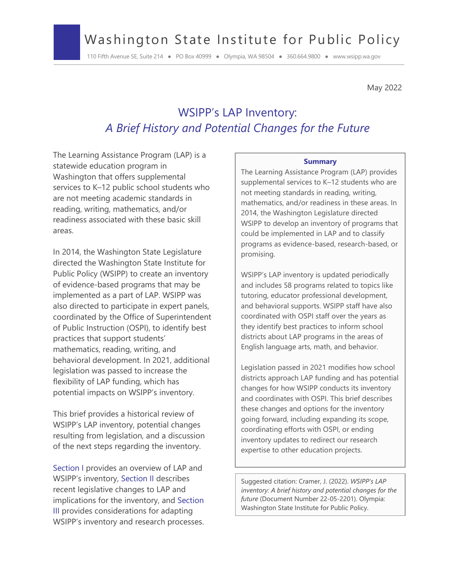# Washington State Institute for Public Policy

110 Fifth Avenue SE, Suite 214 ● PO Box 40999 ● Olympia, WA 98504 ● 360.664.9800 ● www.wsipp.wa.gov

May 2022

# WSIPP's LAP Inventory: *A Brief History and Potential Changes for the Future*

The Learning Assistance Program (LAP) is a statewide education program in Washington that offers supplemental services to K–12 public school students who are not meeting academic standards in reading, writing, mathematics, and/or readiness associated with these basic skill areas.

In 2014, the Washington State Legislature directed the Washington State Institute for Public Policy (WSIPP) to create an inventory of evidence-based programs that may be implemented as a part of LAP. WSIPP was also directed to participate in expert panels, coordinated by the Office of Superintendent of Public Instruction (OSPI), to identify best practices that support students' mathematics, reading, writing, and behavioral development. In 2021, additional legislation was passed to increase the flexibility of LAP funding, which has potential impacts on WSIPP's inventory.

This brief provides a historical review of WSIPP's LAP inventory, potential changes resulting from legislation, and a discussion of the next steps regarding the inventory.

Section I provides an overview of LAP and WSIPP's inventory, Section II describes recent legislative changes to LAP and implications for the inventory, and Section III provides considerations for adapting WSIPP's inventory and research processes.

#### **Summary**

The Learning Assistance Program (LAP) provides supplemental services to K–12 students who are not meeting standards in reading, writing, mathematics, and/or readiness in these areas. In 2014, the Washington Legislature directed WSIPP to develop an inventory of programs that could be implemented in LAP and to classify programs as evidence-based, research-based, or promising.

WSIPP's LAP inventory is updated periodically and includes 58 programs related to topics like tutoring, educator professional development, and behavioral supports. WSIPP staff have also coordinated with OSPI staff over the years as they identify best practices to inform school districts about LAP programs in the areas of English language arts, math, and behavior.

Legislation passed in 2021 modifies how school districts approach LAP funding and has potential changes for how WSIPP conducts its inventory and coordinates with OSPI. This brief describes these changes and options for the inventory going forward, including expanding its scope, coordinating efforts with OSPI, or ending inventory updates to redirect our research expertise to other education projects.

Suggested citation: Cramer, J. (2022). *WSIPP's LAP inventory: A brief history and potential changes for the future* (Document Number 22-05-2201). Olympia: Washington State Institute for Public Policy.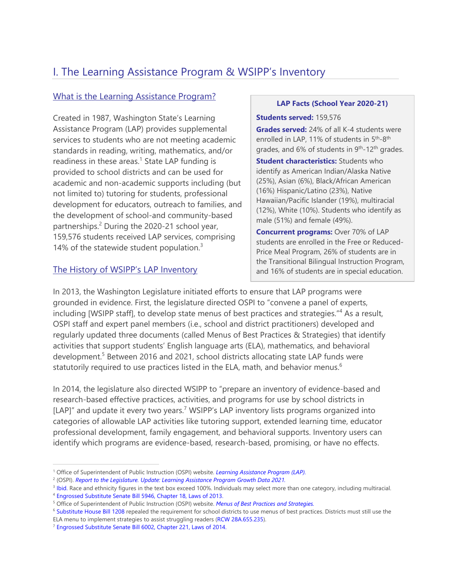# I. The Learning Assistance Program & WSIPP's Inventory

### What is the Learning Assistance Program?

Created in 1987, Washington State's Learning Assistance Program (LAP) provides supplemental services to students who are not meeting academic standards in reading, writing, mathematics, and/or readiness in these areas.<sup>1</sup> State LAP funding is provided to school districts and can be used for academic and non-academic supports including (but not limited to) tutoring for students, professional development for educators, outreach to families, and the development of school-and community-based partnerships.<sup>2</sup> During the 2020-21 school year, 159,576 students received LAP services, comprising 14% of the statewide student population. $3$ 

### The History of WSIPP's LAP Inventory

#### **LAP Facts (School Year 2020-21)**

#### **Students served:** 159,576

**Grades served:** 24% of all K-4 students were enrolled in LAP, 11% of students in 5<sup>th</sup>-8<sup>th</sup> grades, and 6% of students in 9<sup>th</sup>-12<sup>th</sup> grades.

**Student characteristics:** Students who identify as American Indian/Alaska Native (25%), Asian (6%), Black/African American (16%) Hispanic/Latino (23%), Native Hawaiian/Pacific Islander (19%), multiracial (12%), White (10%). Students who identify as male (51%) and female (49%).

**Concurrent programs:** Over 70% of LAP students are enrolled in the Free or Reduced-Price Meal Program, 26% of students are in the Transitional Bilingual Instruction Program, and 16% of students are in special education.

In 2013, the Washington Legislature initiated efforts to ensure that LAP programs were grounded in evidence. First, the legislature directed OSPI to "convene a panel of experts, including [WSIPP staff], to develop state menus of best practices and strategies."<sup>4</sup> As a result, OSPI staff and expert panel members (i.e., school and district practitioners) developed and regularly updated three documents (called Menus of Best Practices & Strategies) that identify activities that support students' English language arts (ELA), mathematics, and behavioral development.<sup>5</sup> Between 2016 and 2021, school districts allocating state LAP funds were statutorily required to use practices listed in the ELA, math, and behavior menus.<sup>6</sup>

In 2014, the legislature also directed WSIPP to "prepare an inventory of evidence-based and research-based effective practices, activities, and programs for use by school districts in [LAP]" and update it every two years.<sup>7</sup> WSIPP's LAP inventory lists programs organized into categories of allowable LAP activities like tutoring support, extended learning time, educator professional development, family engagement, and behavioral supports. Inventory users can identify which programs are evidence-based, research-based, promising, or have no effects.

<sup>&</sup>lt;sup>1</sup> Office of Superintendent of Public Instruction (OSPI) website. *Learning Assistance Program (LAP)*.

<sup>2</sup> (OSPI). *Report to the Legislature. Update: Learning Assistance Program Growth Data 2021.*

<sup>&</sup>lt;sup>3</sup> Ibid. Race and ethnicity figures in the text box exceed 100%. Individuals may select more than one category, including multiracial.<br><sup>4</sup> Engrossed Substitute Senate Bill 5946, Chapter 18, Laws of 2013.

<sup>5</sup> Office of Superintendent of Public Instruction (OSPI) website. *Menus of Best Practices and Strategies.*

<sup>&</sup>lt;sup>6</sup> Substitute House Bill 1208 repealed the requirement for school districts to use menus of best practices. Districts must still use the ELA menu to implement strategies to assist struggling readers (RCW 28A.655.235). <sup>7</sup> Engrossed Substitute Senate Bill 6002, Chapter 221, Laws of 2014.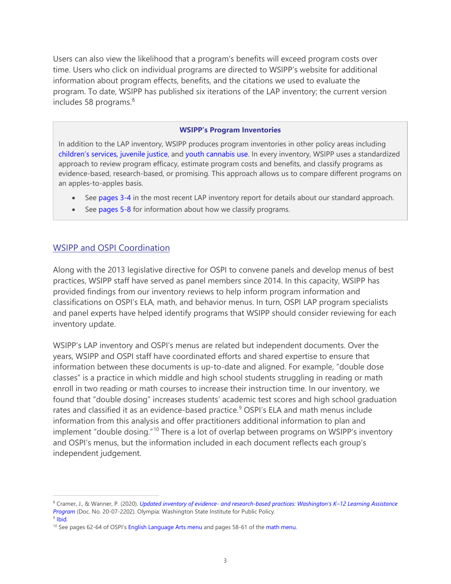Users can also view the likelihood that a program's benefits will exceed program costs over time. Users who click on individual programs are directed to WSIPP's website for additional information about program effects, benefits, and the citations we used to evaluate the program. To date, WSIPP has published six iterations of the LAP inventory; the current version includes 58 programs. [8](#page-2-0)

#### **WSIPP's Program Inventories**

In addition to the LAP inventory, WSIPP produces program inventories in other policy areas including [children's services, juvenile justice,](http://www.wsipp.wa.gov/ReportFile/1727/Wsipp_Updated-Inventory-of-Evidence-Based-Research-Based-and-Promising-Practices-For-Prevention-and-Intervention-Services-for-Children-and-Juveniles-in-the-Child-Welfare-Juvenile-Justice-and-Mental-Health-Systems_Report.pdf) and [youth cannabis use](http://www.wsipp.wa.gov/ReportFile/1716/Wsipp_Updated-Inventory-of-Programs-for-the-Prevention-and-Treatment-of-Youth-Cannabis-Use_Report.pdf). In every inventory, WSIPP uses a standardized approach to review program efficacy, estimate program costs and benefits, and classify programs as evidence-based, research-based, or promising. This approach allows us to compare different programs on an apples-to-apples basis.

- See [pages 3](http://www.wsipp.wa.gov/ReportFile/1724/Wsipp_Updated-Inventory-of-Evidence-Based-and-Research-Based-Practices-Washington-s-K-12-Learning-Assistance-Program_Report.pdf#page=3)-4 in the most recent LAP inventory report for details about our standard approach.
- See [pages 5](http://www.wsipp.wa.gov/ReportFile/1724/Wsipp_Updated-Inventory-of-Evidence-Based-and-Research-Based-Practices-Washington-s-K-12-Learning-Assistance-Program_Report.pdf#page=5)-8 for information about how we classify programs.

#### WSIPP and OSPI Coordination

Along with the 2013 legislative directive for OSPI to convene panels and develop menus of best practices, WSIPP staff have served as panel members since 2014. In this capacity, WSIPP has provided findings from our inventory reviews to help inform program information and classifications on OSPI's ELA, math, and behavior menus. In turn, OSPI LAP program specialists and panel experts have helped identify programs that WSIPP should consider reviewing for each inventory update.

WSIPP's LAP inventory and OSPI's menus are related but independent documents. Over the years, WSIPP and OSPI staff have coordinated efforts and shared expertise to ensure that information between these documents is up-to-date and aligned. For example, "double dose classes" is a practice in which middle and high school students struggling in reading or math enroll in two reading or math courses to increase their instruction time. In our inventory, we found that "double dosing" increases students' academic test scores and high school graduation rates and classified it as an evidence-based practice.<sup>[9](#page-2-1)</sup> OSPI's ELA and math menus include information from this analysis and offer practitioners additional information to plan and implement "double dosing."<sup>[10](#page-2-2)</sup> There is a lot of overlap between programs on WSIPP's inventory and OSPI's menus, but the information included in each document reflects each group's independent judgement.

<span id="page-2-0"></span><sup>8</sup> Cramer, J., & Wanner, P. (2020). *[Updated inventory of evidence- and research-based practices: Washington's K–12 Learning Assistance](http://www.wsipp.wa.gov/ReportFile/1725/Wsipp_Updated-Inventory-of-Evidence-Based-and-Research-Based-Practices-Washington-s-K-12-Learning-Assistance-Program_Inventory.pdf)  [Program](http://www.wsipp.wa.gov/ReportFile/1725/Wsipp_Updated-Inventory-of-Evidence-Based-and-Research-Based-Practices-Washington-s-K-12-Learning-Assistance-Program_Inventory.pdf)* (Doc. No. 20-07-2202). Olympia: Washington State Institute for Public Policy.

<span id="page-2-1"></span> $9$  [Ibid.](http://www.wsipp.wa.gov/ReportFile/1725/Wsipp_Updated-Inventory-of-Evidence-Based-and-Research-Based-Practices-Washington-s-K-12-Learning-Assistance-Program_Inventory.pdf)

<span id="page-2-2"></span><sup>&</sup>lt;sup>10</sup> See pages 62-64 of OSPI'[s English Language Arts menu](https://www.k12.wa.us/sites/default/files/public/2020%20ELA%20Menu%20with%20ADA.pdf#page=67) and pages 58-61 of the [math menu.](https://www.k12.wa.us/sites/default/files/public/2020%20Math%20Menu%20with%20ADA.pdf#page=63)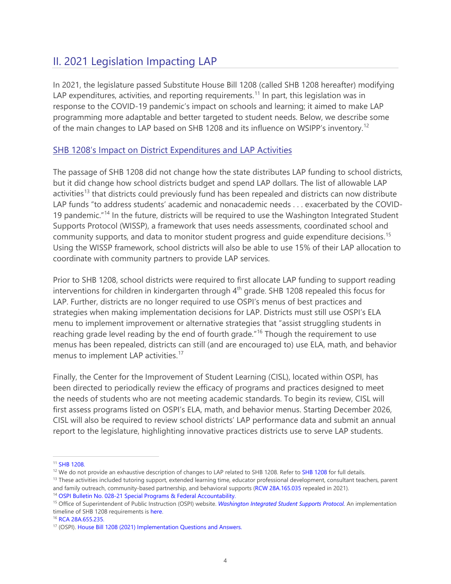# II. 2021 Legislation Impacting LAP

In 2021, the legislature passed Substitute House Bill 1208 (called SHB 1208 hereafter) modifying LAP expenditures, activities, and reporting requirements.<sup>[11](#page-3-0)</sup> In part, this legislation was in response to the COVID-19 pandemic's impact on schools and learning; it aimed to make LAP programming more adaptable and better targeted to student needs. Below, we describe some of the main changes to LAP based on SHB [12](#page-3-1)08 and its influence on WSIPP's inventory.<sup>12</sup>

### SHB 1208's Impact on District Expenditures and LAP Activities

The passage of SHB 1208 did not change how the state distributes LAP funding to school districts, but it did change how school districts budget and spend LAP dollars. The list of allowable LAP activities<sup>[13](#page-3-2)</sup> that districts could previously fund has been repealed and districts can now distribute LAP funds "to address students' academic and nonacademic needs . . . exacerbated by the COVID-19 pandemic."<sup>[14](#page-3-3)</sup> In the future, districts will be required to use the Washington Integrated Student Supports Protocol (WISSP), a framework that uses needs assessments, coordinated school and community supports, and data to monitor student progress and quide expenditure decisions.<sup>[15](#page-3-4)</sup> Using the WISSP framework, school districts will also be able to use 15% of their LAP allocation to coordinate with community partners to provide LAP services.

Prior to SHB 1208, school districts were required to first allocate LAP funding to support reading interventions for children in kindergarten through  $4<sup>th</sup>$  grade. SHB 1208 repealed this focus for LAP. Further, districts are no longer required to use OSPI's menus of best practices and strategies when making implementation decisions for LAP. Districts must still use OSPI's ELA menu to implement improvement or alternative strategies that "assist struggling students in reaching grade level reading by the end of fourth grade."<sup>[16](#page-3-5)</sup> Though the requirement to use menus has been repealed, districts can still (and are encouraged to) use ELA, math, and behavior menus to implement LAP activities.<sup>[17](#page-3-6)</sup>

Finally, the Center for the Improvement of Student Learning (CISL), located within OSPI, has been directed to periodically review the efficacy of programs and practices designed to meet the needs of students who are not meeting academic standards. To begin its review, CISL will first assess programs listed on OSPI's ELA, math, and behavior menus. Starting December 2026, CISL will also be required to review school districts' LAP performance data and submit an annual report to the legislature, highlighting innovative practices districts use to serve LAP students.

<span id="page-3-3"></span><sup>14</sup> OSPI Bulletin No. 028-[21 Special Programs & Federal Accountability.](https://www.k12.wa.us/sites/default/files/public/bulletinsmemos/bulletins2021/B028-21.pdf)

<span id="page-3-0"></span><sup>&</sup>lt;sup>11</sup> [SHB 1208.](https://lawfilesext.leg.wa.gov/biennium/2021-22/Pdf/Bills/Session%20Laws/House/1208-S.SL.pdf?q=20220418120352)

<span id="page-3-1"></span> $12$  We do not provide an exhaustive description of changes to LAP related to SHB 1208. Refer to SHB 1208 for full details.<br><sup>13</sup> These activities included tutoring support, extended learning time, educator professional de

<span id="page-3-2"></span>and family outreach, community-based partnership, and behavioral supports [\(RCW 28A.165.035](https://app.leg.wa.gov/RCW/dispo.aspx?cite=28A.165.035) repealed in 2021).

<span id="page-3-4"></span><sup>15</sup> Office of Superintendent of Public Instruction (OSPI) website. *[Washington Integrated Student Supports Protocol](https://www.k12.wa.us/student-success/support-programs/multi-tiered-system-supports-mtss/washington-integrated-student-supports-protocol-wissp)*. An implementation timeline of SHB 1208 requirements is [here](https://www.k12.wa.us/sites/default/files/public/LAP%20Timeline%205.21.21.pdf).

<span id="page-3-5"></span><sup>16</sup> [RCA 28A.655.235.](https://app.leg.wa.gov/RCW/default.aspx?cite=28A.655.235)

<span id="page-3-6"></span><sup>&</sup>lt;sup>17</sup> (OSPI)[. House Bill 1208 \(2021\) Implementation Questions and Answers.](https://www.k12.wa.us/sites/default/files/public/HB%201208%20Q%20and%20A%205.27.21.pdf)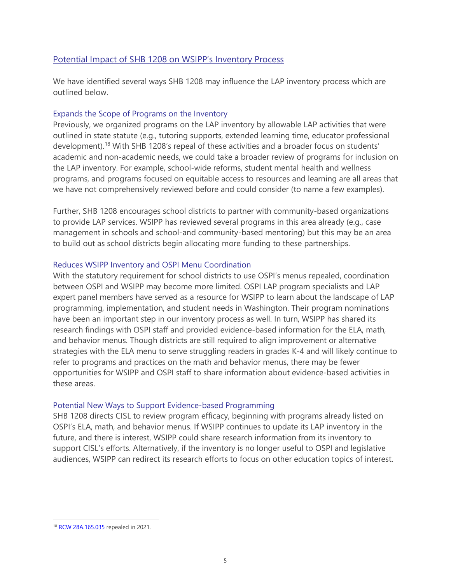### Potential Impact of SHB 1208 on WSIPP's Inventory Process

We have identified several ways SHB 1208 may influence the LAP inventory process which are outlined below.

#### Expands the Scope of Programs on the Inventory

Previously, we organized programs on the LAP inventory by allowable LAP activities that were outlined in state statute (e.g., tutoring supports, extended learning time, educator professional development).<sup>[18](#page-4-0)</sup> With SHB 1208's repeal of these activities and a broader focus on students' academic and non-academic needs, we could take a broader review of programs for inclusion on the LAP inventory. For example, school-wide reforms, student mental health and wellness programs, and programs focused on equitable access to resources and learning are all areas that we have not comprehensively reviewed before and could consider (to name a few examples).

Further, SHB 1208 encourages school districts to partner with community-based organizations to provide LAP services. WSIPP has reviewed several programs in this area already (e.g., case management in schools and school-and community-based mentoring) but this may be an area to build out as school districts begin allocating more funding to these partnerships.

#### Reduces WSIPP Inventory and OSPI Menu Coordination

With the statutory requirement for school districts to use OSPI's menus repealed, coordination between OSPI and WSIPP may become more limited. OSPI LAP program specialists and LAP expert panel members have served as a resource for WSIPP to learn about the landscape of LAP programming, implementation, and student needs in Washington. Their program nominations have been an important step in our inventory process as well. In turn, WSIPP has shared its research findings with OSPI staff and provided evidence-based information for the ELA, math, and behavior menus. Though districts are still required to align improvement or alternative strategies with the ELA menu to serve struggling readers in grades K-4 and will likely continue to refer to programs and practices on the math and behavior menus, there may be fewer opportunities for WSIPP and OSPI staff to share information about evidence-based activities in these areas.

#### Potential New Ways to Support Evidence-based Programming

SHB 1208 directs CISL to review program efficacy, beginning with programs already listed on OSPI's ELA, math, and behavior menus. If WSIPP continues to update its LAP inventory in the future, and there is interest, WSIPP could share research information from its inventory to support CISL's efforts. Alternatively, if the inventory is no longer useful to OSPI and legislative audiences, WSIPP can redirect its research efforts to focus on other education topics of interest.

<span id="page-4-0"></span><sup>18</sup> [RCW 28A.165.035](https://app.leg.wa.gov/RCW/dispo.aspx?cite=28A.165.035) repealed in 2021.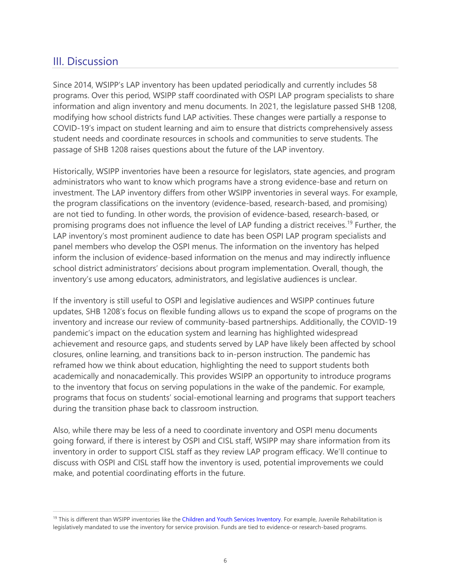## III. Discussion

Since 2014, WSIPP's LAP inventory has been updated periodically and currently includes 58 programs. Over this period, WSIPP staff coordinated with OSPI LAP program specialists to share information and align inventory and menu documents. In 2021, the legislature passed SHB 1208, modifying how school districts fund LAP activities. These changes were partially a response to COVID-19's impact on student learning and aim to ensure that districts comprehensively assess student needs and coordinate resources in schools and communities to serve students. The passage of SHB 1208 raises questions about the future of the LAP inventory.

Historically, WSIPP inventories have been a resource for legislators, state agencies, and program administrators who want to know which programs have a strong evidence-base and return on investment. The LAP inventory differs from other WSIPP inventories in several ways. For example, the program classifications on the inventory (evidence-based, research-based, and promising) are not tied to funding. In other words, the provision of evidence-based, research-based, or promising programs does not influence the level of LAP funding a district receives. [19](#page-5-0) Further, the LAP inventory's most prominent audience to date has been OSPI LAP program specialists and panel members who develop the OSPI menus. The information on the inventory has helped inform the inclusion of evidence-based information on the menus and may indirectly influence school district administrators' decisions about program implementation. Overall, though, the inventory's use among educators, administrators, and legislative audiences is unclear.

If the inventory is still useful to OSPI and legislative audiences and WSIPP continues future updates, SHB 1208's focus on flexible funding allows us to expand the scope of programs on the inventory and increase our review of community-based partnerships. Additionally, the COVID-19 pandemic's impact on the education system and learning has highlighted widespread achievement and resource gaps, and students served by LAP have likely been affected by school closures, online learning, and transitions back to in-person instruction. The pandemic has reframed how we think about education, highlighting the need to support students both academically and nonacademically. This provides WSIPP an opportunity to introduce programs to the inventory that focus on serving populations in the wake of the pandemic. For example, programs that focus on students' social-emotional learning and programs that support teachers during the transition phase back to classroom instruction.

Also, while there may be less of a need to coordinate inventory and OSPI menu documents going forward, if there is interest by OSPI and CISL staff, WSIPP may share information from its inventory in order to support CISL staff as they review LAP program efficacy. We'll continue to discuss with OSPI and CISL staff how the inventory is used, potential improvements we could make, and potential coordinating efforts in the future.

<span id="page-5-0"></span><sup>&</sup>lt;sup>19</sup> This is different than WSIPP inventories like the Children and Youth Services Inventory. For example, Juvenile Rehabilitation is legislatively mandated to use the inventory for service provision. Funds are tied to evidence-or research-based programs.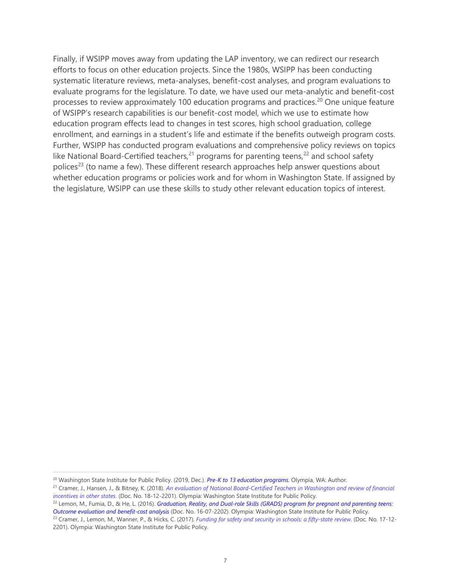Finally, if WSIPP moves away from updating the LAP inventory, we can redirect our research efforts to focus on other education projects. Since the 1980s, WSIPP has been conducting systematic literature reviews, meta-analyses, benefit-cost analyses, and program evaluations to evaluate programs for the legislature. To date, we have used our meta-analytic and benefit-cost processes to review approximately 100 education programs and practices.<sup>[20](#page-6-0)</sup> One unique feature of WSIPP's research capabilities is our benefit-cost model, which we use to estimate how education program effects lead to changes in test scores, high school graduation, college enrollment, and earnings in a student's life and estimate if the benefits outweigh program costs. Further, WSIPP has conducted program evaluations and comprehensive policy reviews on topics like National Board-Certified teachers,<sup>[21](#page-6-1)</sup> programs for parenting teens,<sup>[22](#page-6-2)</sup> and school safety polices<sup>[23](#page-6-3)</sup> (to name a few). These different research approaches help answer questions about whether education programs or policies work and for whom in Washington State. If assigned by the legislature, WSIPP can use these skills to study other relevant education topics of interest.

<span id="page-6-0"></span><sup>&</sup>lt;sup>20</sup> Washington State Institute for Public Policy. (2019, Dec.). Pre-K to 13 education programs. Olympia, WA: Author.<br><sup>21</sup> Cramer, J., Hansen, J., & Bitney, K. (2018). An evaluation of National Board-Certified Teachers in

<span id="page-6-1"></span>*incentives in other states*. (Doc. No. 18-12-2201). Olympia: Washington State Institute for Public Policy.

<span id="page-6-2"></span><sup>22</sup> Lemon, M., Fumia, D., & He, L. (2016). *Graduation, Reality, and Dual-role Skills (GRADS) program for pregnant and parenting teens: Outcome evaluation and benefit-cost analysis* (Doc. No. 16-07-2202). Olympia: Washington State Institute for Public Policy.

<span id="page-6-3"></span><sup>23</sup> Cramer, J., Lemon, M., Wanner, P., & Hicks, C. (2017). *Funding for safety and security in schools: a fifty-state review*. (Doc. No. 17-12- 2201). Olympia: Washington State Institute for Public Policy.